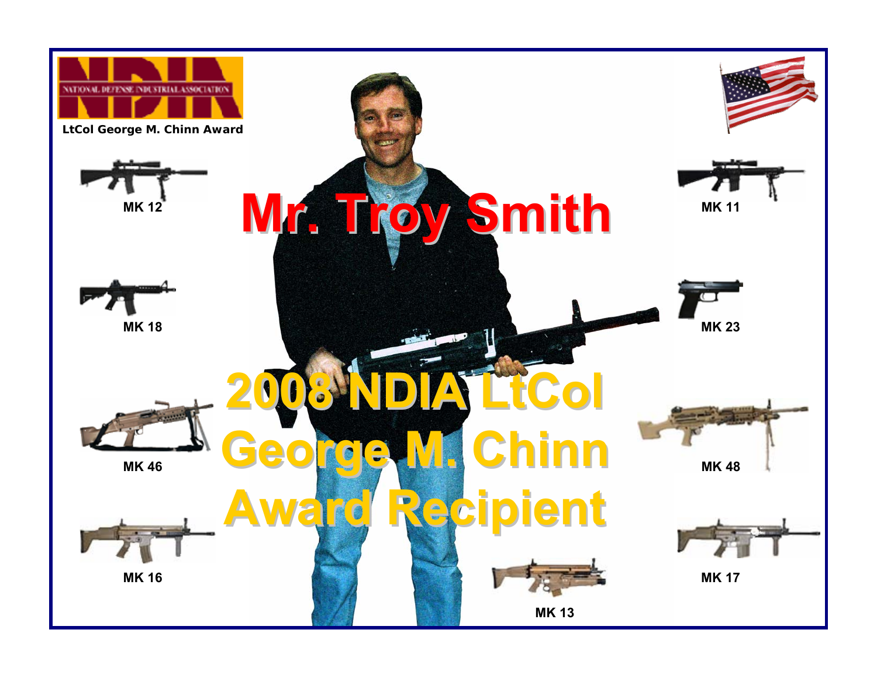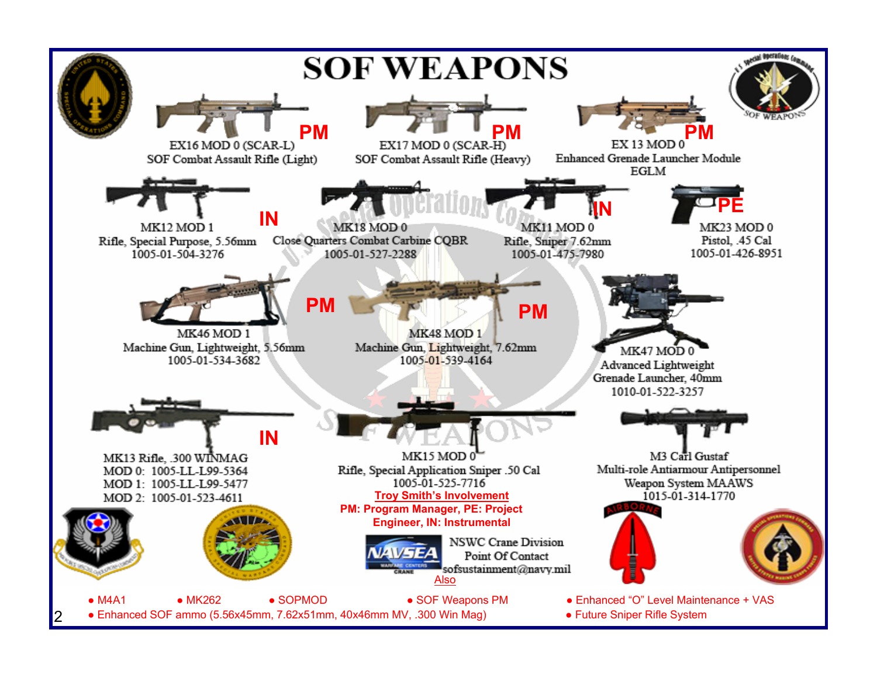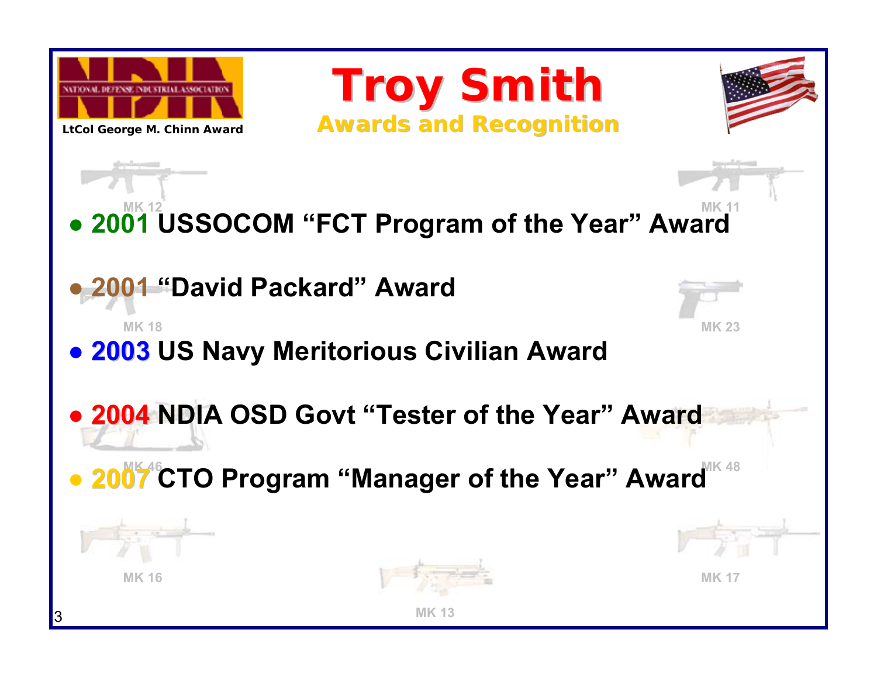

**LtCol George M. Chinn Award**

**Troy Smith Troy Smith Awards and Recognition Awards and Recognition**



**MK 12 MK 11● 2001 USSOCOM "FCT Program of the Year" Award**

**● 2001 "David Packard" Award**

**MK 18**

**● 2003 US Navy Meritorious Civilian Award**

**MK 23**

**● 2004 NDIA OSD Govt "Tester of the Year" Award**

**MK 46 MK 48● 2007 CTO Program "Manager of the Year" Award**



**MK 16**





**MK 17**